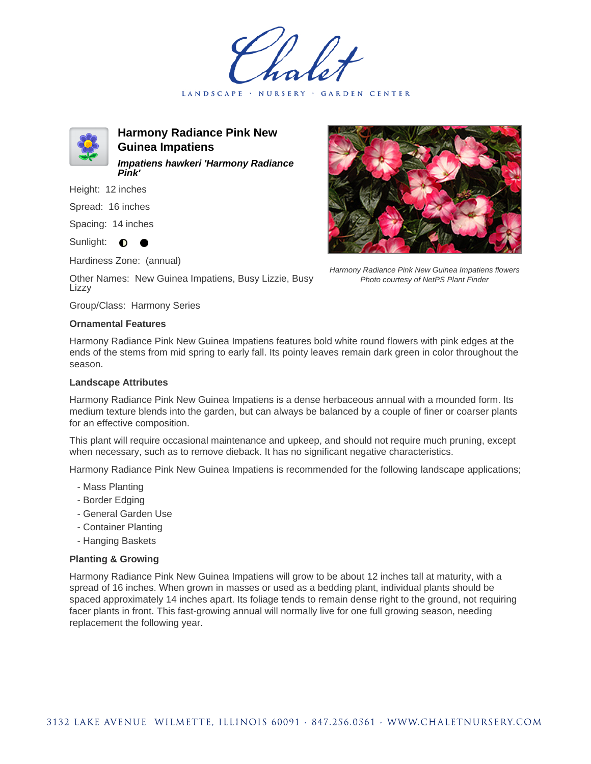LANDSCAPE · NURSERY · GARDEN CENTER



**Harmony Radiance Pink New Guinea Impatiens Impatiens hawkeri 'Harmony Radiance Pink'**

Height: 12 inches

Spread: 16 inches

Spacing: 14 inches

Sunlight: **0** 

Hardiness Zone: (annual)

Other Names: New Guinea Impatiens, Busy Lizzie, Busy Lizzy

Group/Class: Harmony Series

## **Ornamental Features**

Harmony Radiance Pink New Guinea Impatiens features bold white round flowers with pink edges at the ends of the stems from mid spring to early fall. Its pointy leaves remain dark green in color throughout the season.

## **Landscape Attributes**

Harmony Radiance Pink New Guinea Impatiens is a dense herbaceous annual with a mounded form. Its medium texture blends into the garden, but can always be balanced by a couple of finer or coarser plants for an effective composition.

This plant will require occasional maintenance and upkeep, and should not require much pruning, except when necessary, such as to remove dieback. It has no significant negative characteristics.

Harmony Radiance Pink New Guinea Impatiens is recommended for the following landscape applications;

- Mass Planting
- Border Edging
- General Garden Use
- Container Planting
- Hanging Baskets

## **Planting & Growing**

Harmony Radiance Pink New Guinea Impatiens will grow to be about 12 inches tall at maturity, with a spread of 16 inches. When grown in masses or used as a bedding plant, individual plants should be spaced approximately 14 inches apart. Its foliage tends to remain dense right to the ground, not requiring facer plants in front. This fast-growing annual will normally live for one full growing season, needing replacement the following year.



Harmony Radiance Pink New Guinea Impatiens flowers Photo courtesy of NetPS Plant Finder